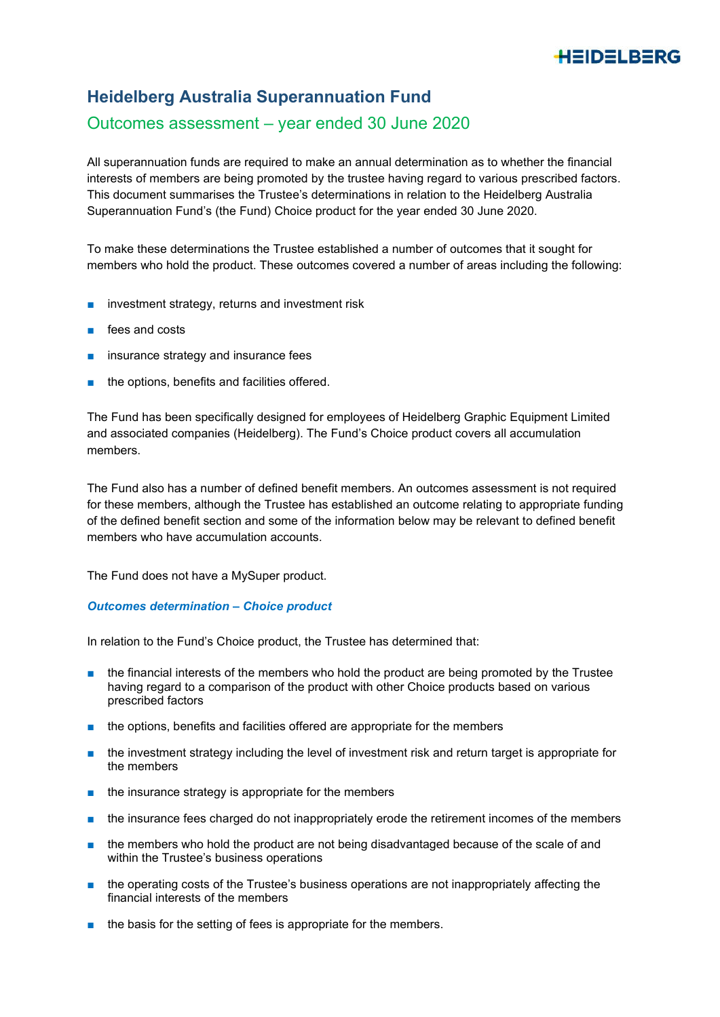# **HEIDELBERG**

# **Heidelberg Australia Superannuation Fund**

## Outcomes assessment – year ended 30 June 2020

All superannuation funds are required to make an annual determination as to whether the financial interests of members are being promoted by the trustee having regard to various prescribed factors. This document summarises the Trustee's determinations in relation to the Heidelberg Australia Superannuation Fund's (the Fund) Choice product for the year ended 30 June 2020.

To make these determinations the Trustee established a number of outcomes that it sought for members who hold the product. These outcomes covered a number of areas including the following:

- investment strategy, returns and investment risk
- fees and costs
- insurance strategy and insurance fees
- the options, benefits and facilities offered.

The Fund has been specifically designed for employees of Heidelberg Graphic Equipment Limited and associated companies (Heidelberg). The Fund's Choice product covers all accumulation members.

The Fund also has a number of defined benefit members. An outcomes assessment is not required for these members, although the Trustee has established an outcome relating to appropriate funding of the defined benefit section and some of the information below may be relevant to defined benefit members who have accumulation accounts.

The Fund does not have a MySuper product.

## *Outcomes determination – Choice product*

In relation to the Fund's Choice product, the Trustee has determined that:

- the financial interests of the members who hold the product are being promoted by the Trustee having regard to a comparison of the product with other Choice products based on various prescribed factors
- the options, benefits and facilities offered are appropriate for the members
- the investment strategy including the level of investment risk and return target is appropriate for the members
- the insurance strategy is appropriate for the members
- the insurance fees charged do not inappropriately erode the retirement incomes of the members
- the members who hold the product are not being disadvantaged because of the scale of and within the Trustee's business operations
- the operating costs of the Trustee's business operations are not inappropriately affecting the financial interests of the members
- the basis for the setting of fees is appropriate for the members.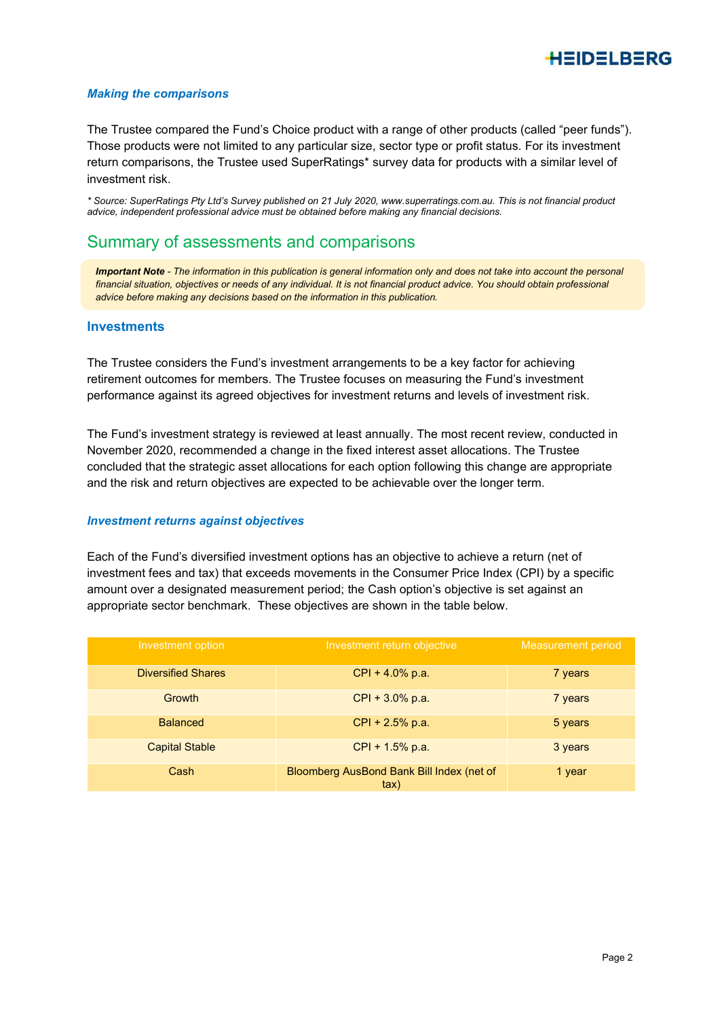

#### *Making the comparisons*

The Trustee compared the Fund's Choice product with a range of other products (called "peer funds"). Those products were not limited to any particular size, sector type or profit status. For its investment return comparisons, the Trustee used SuperRatings\* survey data for products with a similar level of investment risk.

*\* Source: SuperRatings Pty Ltd's Survey published on 21 July 2020, www.superratings.com.au. This is not financial product advice, independent professional advice must be obtained before making any financial decisions.*

## Summary of assessments and comparisons

*Important Note - The information in this publication is general information only and does not take into account the personal*  financial situation, objectives or needs of any individual. It is not financial product advice. You should obtain professional *advice before making any decisions based on the information in this publication.*

#### **Investments**

The Trustee considers the Fund's investment arrangements to be a key factor for achieving retirement outcomes for members. The Trustee focuses on measuring the Fund's investment performance against its agreed objectives for investment returns and levels of investment risk.

The Fund's investment strategy is reviewed at least annually. The most recent review, conducted in November 2020, recommended a change in the fixed interest asset allocations. The Trustee concluded that the strategic asset allocations for each option following this change are appropriate and the risk and return objectives are expected to be achievable over the longer term.

#### *Investment returns against objectives*

Each of the Fund's diversified investment options has an objective to achieve a return (net of investment fees and tax) that exceeds movements in the Consumer Price Index (CPI) by a specific amount over a designated measurement period; the Cash option's objective is set against an appropriate sector benchmark. These objectives are shown in the table below.

| Investment option         | Investment return objective                       | <b>Measurement period</b> |
|---------------------------|---------------------------------------------------|---------------------------|
| <b>Diversified Shares</b> | $CPI + 4.0\%$ p.a.                                | 7 years                   |
| Growth                    | $CPI + 3.0\%$ p.a.                                | 7 years                   |
| <b>Balanced</b>           | CPI + 2.5% p.a.                                   | 5 years                   |
| <b>Capital Stable</b>     | $CPI + 1.5% p.a.$                                 | 3 years                   |
| Cash                      | Bloomberg AusBond Bank Bill Index (net of<br>tax) | 1 year                    |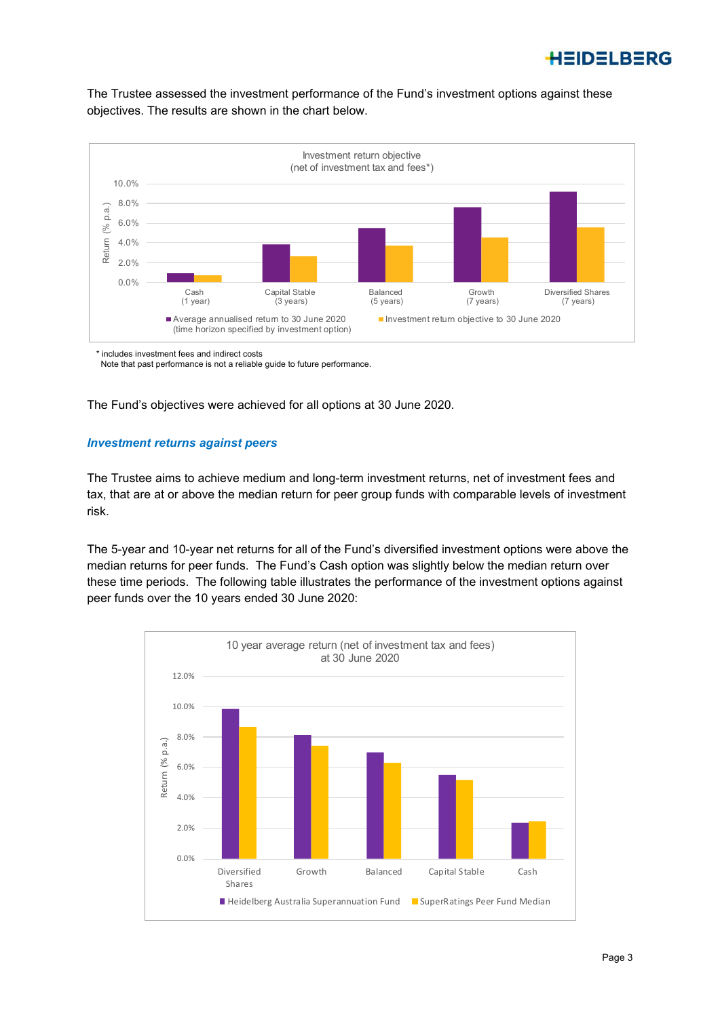

The Trustee assessed the investment performance of the Fund's investment options against these objectives. The results are shown in the chart below.



\* includes investment fees and indirect costs

Note that past performance is not a reliable guide to future performance.

The Fund's objectives were achieved for all options at 30 June 2020.

#### *Investment returns against peers*

The Trustee aims to achieve medium and long-term investment returns, net of investment fees and tax, that are at or above the median return for peer group funds with comparable levels of investment risk.

The 5-year and 10-year net returns for all of the Fund's diversified investment options were above the median returns for peer funds. The Fund's Cash option was slightly below the median return over these time periods. The following table illustrates the performance of the investment options against peer funds over the 10 years ended 30 June 2020:

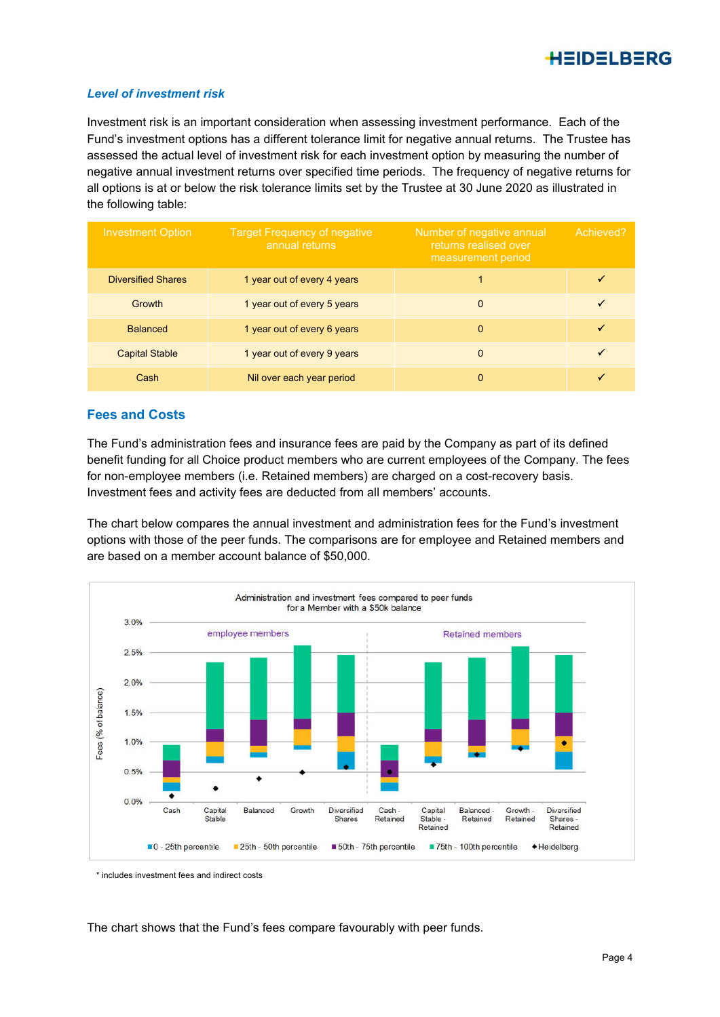

### *Level of investment risk*

Investment risk is an important consideration when assessing investment performance. Each of the Fund's investment options has a different tolerance limit for negative annual returns. The Trustee has assessed the actual level of investment risk for each investment option by measuring the number of negative annual investment returns over specified time periods. The frequency of negative returns for all options is at or below the risk tolerance limits set by the Trustee at 30 June 2020 as illustrated in the following table:

| <b>Investment Option</b>  | <b>Target Frequency of negative</b><br>annual returns | Number of negative annual<br>returns realised over<br>measurement period | Achieved? |
|---------------------------|-------------------------------------------------------|--------------------------------------------------------------------------|-----------|
| <b>Diversified Shares</b> | 1 year out of every 4 years                           |                                                                          |           |
| Growth                    | 1 year out of every 5 years                           | $\Omega$                                                                 |           |
| Balanced                  | 1 year out of every 6 years                           | $\Omega$                                                                 |           |
| <b>Capital Stable</b>     | 1 year out of every 9 years                           | $\Omega$                                                                 |           |
| Cash                      | Nil over each year period                             | 0                                                                        |           |

## **Fees and Costs**

The Fund's administration fees and insurance fees are paid by the Company as part of its defined benefit funding for all Choice product members who are current employees of the Company. The fees for non-employee members (i.e. Retained members) are charged on a cost-recovery basis. Investment fees and activity fees are deducted from all members' accounts.

The chart below compares the annual investment and administration fees for the Fund's investment options with those of the peer funds. The comparisons are for employee and Retained members and are based on a member account balance of \$50,000.



\* includes investment fees and indirect costs

The chart shows that the Fund's fees compare favourably with peer funds.